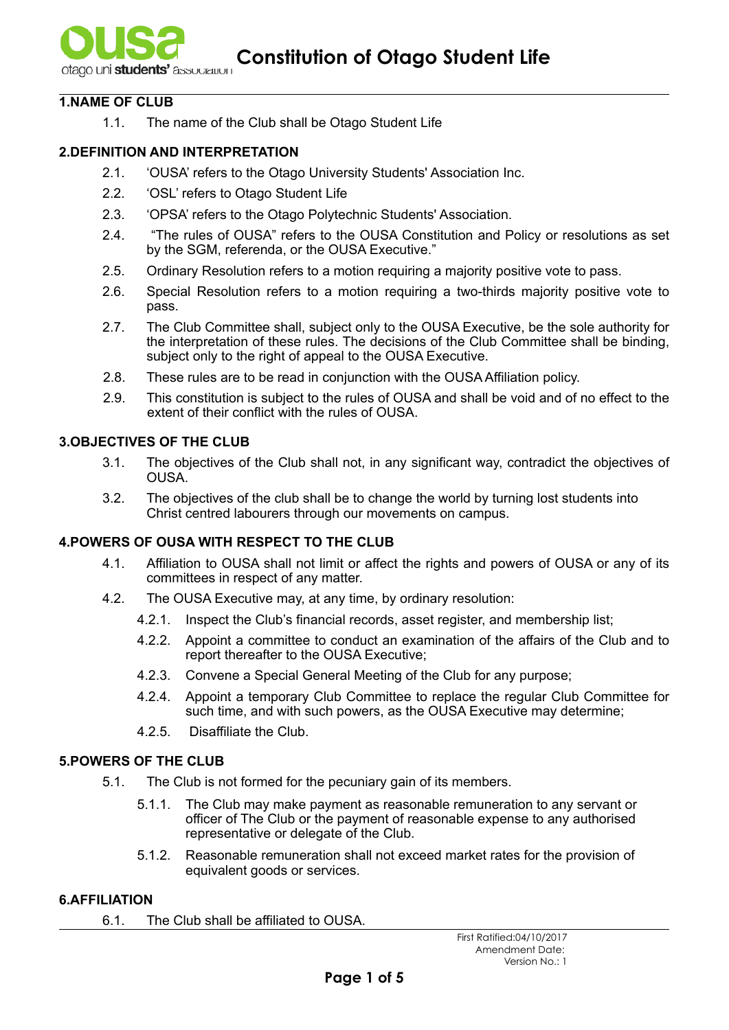

### **1.NAME OF CLUB**

1.1. The name of the Club shall be Otago Student Life

### **2.DEFINITION AND INTERPRETATION**

- 2.1. 'OUSA' refers to the Otago University Students' Association Inc.
- 2.2. 'OSL' refers to Otago Student Life
- 2.3. 'OPSA' refers to the Otago Polytechnic Students' Association.
- 2.4. "The rules of OUSA" refers to the OUSA Constitution and Policy or resolutions as set by the SGM, referenda, or the OUSA Executive."
- 2.5. Ordinary Resolution refers to a motion requiring a majority positive vote to pass.
- 2.6. Special Resolution refers to a motion requiring a two-thirds majority positive vote to pass.
- 2.7. The Club Committee shall, subject only to the OUSA Executive, be the sole authority for the interpretation of these rules. The decisions of the Club Committee shall be binding, subject only to the right of appeal to the OUSA Executive.
- 2.8. These rules are to be read in conjunction with the OUSA Affiliation policy.
- 2.9. This constitution is subject to the rules of OUSA and shall be void and of no effect to the extent of their conflict with the rules of OUSA.

# **3.OBJECTIVES OF THE CLUB**

- 3.1. The objectives of the Club shall not, in any significant way, contradict the objectives of OUSA.
- 3.2. The objectives of the club shall be to change the world by turning lost students into Christ centred labourers through our movements on campus.

# **4.POWERS OF OUSA WITH RESPECT TO THE CLUB**

- 4.1. Affiliation to OUSA shall not limit or affect the rights and powers of OUSA or any of its committees in respect of any matter.
- 4.2. The OUSA Executive may, at any time, by ordinary resolution:
	- 4.2.1. Inspect the Club's financial records, asset register, and membership list;
	- 4.2.2. Appoint a committee to conduct an examination of the affairs of the Club and to report thereafter to the OUSA Executive;
	- 4.2.3. Convene a Special General Meeting of the Club for any purpose;
	- 4.2.4. Appoint a temporary Club Committee to replace the regular Club Committee for such time, and with such powers, as the OUSA Executive may determine;
	- 4.2.5. Disaffiliate the Club.

### **5.POWERS OF THE CLUB**

- 5.1. The Club is not formed for the pecuniary gain of its members.
	- 5.1.1. The Club may make payment as reasonable remuneration to any servant or officer of The Club or the payment of reasonable expense to any authorised representative or delegate of the Club.
	- 5.1.2. Reasonable remuneration shall not exceed market rates for the provision of equivalent goods or services.

### **6.AFFILIATION**

6.1. The Club shall be affiliated to OUSA.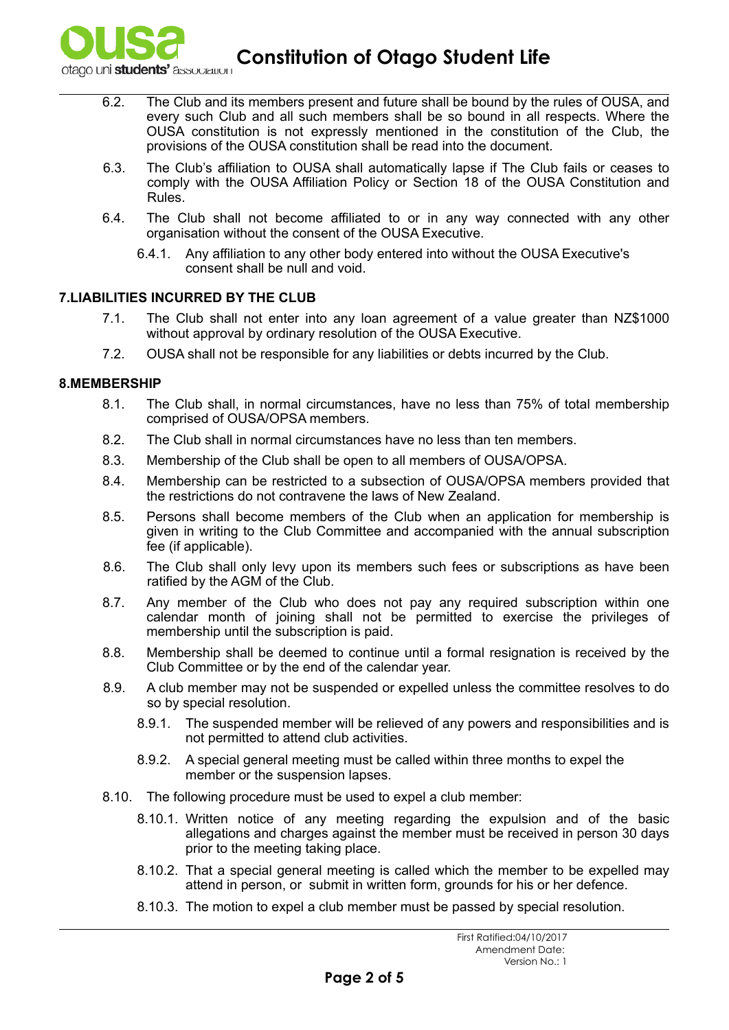

**Constitution of Otago Student Life** 

- 6.2. The Club and its members present and future shall be bound by the rules of OUSA, and every such Club and all such members shall be so bound in all respects. Where the OUSA constitution is not expressly mentioned in the constitution of the Club, the provisions of the OUSA constitution shall be read into the document.
- 6.3. The Club's affiliation to OUSA shall automatically lapse if The Club fails or ceases to comply with the OUSA Affiliation Policy or Section 18 of the OUSA Constitution and Rules.
- 6.4. The Club shall not become affiliated to or in any way connected with any other organisation without the consent of the OUSA Executive.
	- 6.4.1. Any affiliation to any other body entered into without the OUSA Executive's consent shall be null and void.

### **7.LIABILITIES INCURRED BY THE CLUB**

- 7.1. The Club shall not enter into any loan agreement of a value greater than NZ\$1000 without approval by ordinary resolution of the OUSA Executive.
- 7.2. OUSA shall not be responsible for any liabilities or debts incurred by the Club.

#### **8.MEMBERSHIP**

- 8.1. The Club shall, in normal circumstances, have no less than 75% of total membership comprised of OUSA/OPSA members.
- 8.2. The Club shall in normal circumstances have no less than ten members.
- 8.3. Membership of the Club shall be open to all members of OUSA/OPSA.
- 8.4. Membership can be restricted to a subsection of OUSA/OPSA members provided that the restrictions do not contravene the laws of New Zealand.
- 8.5. Persons shall become members of the Club when an application for membership is given in writing to the Club Committee and accompanied with the annual subscription fee (if applicable).
- 8.6. The Club shall only levy upon its members such fees or subscriptions as have been ratified by the AGM of the Club.
- 8.7. Any member of the Club who does not pay any required subscription within one calendar month of joining shall not be permitted to exercise the privileges of membership until the subscription is paid.
- 8.8. Membership shall be deemed to continue until a formal resignation is received by the Club Committee or by the end of the calendar year.
- 8.9. A club member may not be suspended or expelled unless the committee resolves to do so by special resolution.
	- 8.9.1. The suspended member will be relieved of any powers and responsibilities and is not permitted to attend club activities.
	- 8.9.2. A special general meeting must be called within three months to expel the member or the suspension lapses.
- 8.10. The following procedure must be used to expel a club member:
	- 8.10.1. Written notice of any meeting regarding the expulsion and of the basic allegations and charges against the member must be received in person 30 days prior to the meeting taking place.
	- 8.10.2. That a special general meeting is called which the member to be expelled may attend in person, or submit in written form, grounds for his or her defence.
	- 8.10.3. The motion to expel a club member must be passed by special resolution.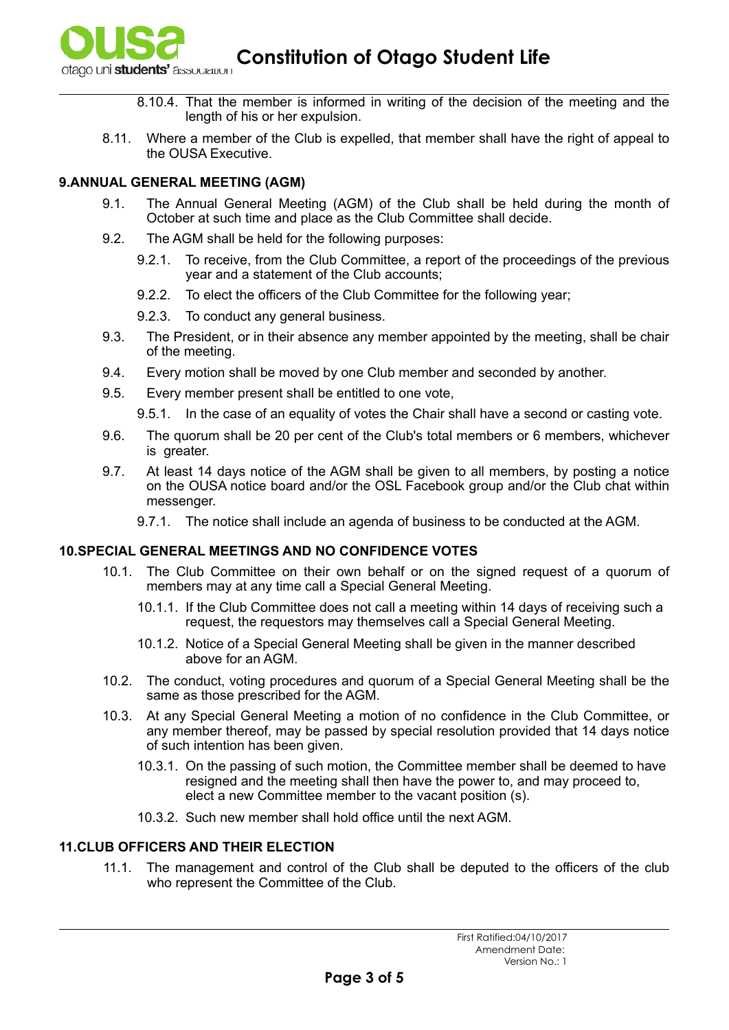

**Constitution of Otago Student Life and Student Life** 

- 8.10.4. That the member is informed in writing of the decision of the meeting and the length of his or her expulsion.
- 8.11. Where a member of the Club is expelled, that member shall have the right of appeal to the OUSA Executive.

## **9.ANNUAL GENERAL MEETING (AGM)**

- 9.1. The Annual General Meeting (AGM) of the Club shall be held during the month of October at such time and place as the Club Committee shall decide.
- 9.2. The AGM shall be held for the following purposes:
	- 9.2.1. To receive, from the Club Committee, a report of the proceedings of the previous year and a statement of the Club accounts;
	- 9.2.2. To elect the officers of the Club Committee for the following year;
	- 9.2.3. To conduct any general business.
- 9.3. The President, or in their absence any member appointed by the meeting, shall be chair of the meeting.
- 9.4. Every motion shall be moved by one Club member and seconded by another.
- 9.5. Every member present shall be entitled to one vote,
	- 9.5.1. In the case of an equality of votes the Chair shall have a second or casting vote.
- 9.6. The quorum shall be 20 per cent of the Club's total members or 6 members, whichever is greater.
- 9.7. At least 14 days notice of the AGM shall be given to all members, by posting a notice on the OUSA notice board and/or the OSL Facebook group and/or the Club chat within messenger.
	- 9.7.1. The notice shall include an agenda of business to be conducted at the AGM.

# **10.SPECIAL GENERAL MEETINGS AND NO CONFIDENCE VOTES**

- 10.1. The Club Committee on their own behalf or on the signed request of a quorum of members may at any time call a Special General Meeting.
	- 10.1.1. If the Club Committee does not call a meeting within 14 days of receiving such a request, the requestors may themselves call a Special General Meeting.
	- 10.1.2. Notice of a Special General Meeting shall be given in the manner described above for an AGM.
- 10.2. The conduct, voting procedures and quorum of a Special General Meeting shall be the same as those prescribed for the AGM.
- 10.3. At any Special General Meeting a motion of no confidence in the Club Committee, or any member thereof, may be passed by special resolution provided that 14 days notice of such intention has been given.
	- 10.3.1. On the passing of such motion, the Committee member shall be deemed to have resigned and the meeting shall then have the power to, and may proceed to, elect a new Committee member to the vacant position (s).
	- 10.3.2. Such new member shall hold office until the next AGM.

### **11.CLUB OFFICERS AND THEIR ELECTION**

11.1. The management and control of the Club shall be deputed to the officers of the club who represent the Committee of the Club.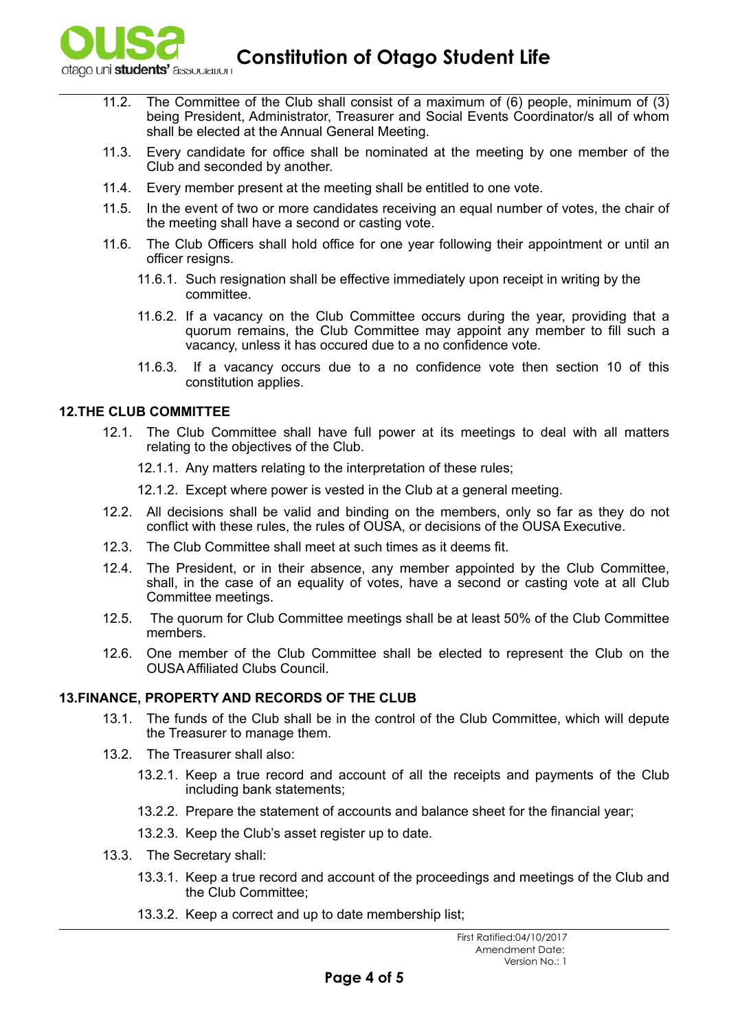

**Constitution of Otago Student Life** 

- 11.2. The Committee of the Club shall consist of a maximum of  $(6)$  people, minimum of  $(3)$ being President, Administrator, Treasurer and Social Events Coordinator/s all of whom shall be elected at the Annual General Meeting.
- 11.3. Every candidate for office shall be nominated at the meeting by one member of the Club and seconded by another.
- 11.4. Every member present at the meeting shall be entitled to one vote.
- 11.5. In the event of two or more candidates receiving an equal number of votes, the chair of the meeting shall have a second or casting vote.
- 11.6. The Club Officers shall hold office for one year following their appointment or until an officer resigns.
	- 11.6.1. Such resignation shall be effective immediately upon receipt in writing by the committee.
	- 11.6.2. If a vacancy on the Club Committee occurs during the year, providing that a quorum remains, the Club Committee may appoint any member to fill such a vacancy, unless it has occured due to a no confidence vote.
	- 11.6.3. If a vacancy occurs due to a no confidence vote then section 10 of this constitution applies.

### **12.THE CLUB COMMITTEE**

- 12.1. The Club Committee shall have full power at its meetings to deal with all matters relating to the objectives of the Club.
	- 12.1.1. Any matters relating to the interpretation of these rules;
	- 12.1.2. Except where power is vested in the Club at a general meeting.
- 12.2. All decisions shall be valid and binding on the members, only so far as they do not conflict with these rules, the rules of OUSA, or decisions of the OUSA Executive.
- 12.3. The Club Committee shall meet at such times as it deems fit.
- 12.4. The President, or in their absence, any member appointed by the Club Committee, shall, in the case of an equality of votes, have a second or casting vote at all Club Committee meetings.
- 12.5. The quorum for Club Committee meetings shall be at least 50% of the Club Committee members.
- 12.6. One member of the Club Committee shall be elected to represent the Club on the OUSA Affiliated Clubs Council.

### **13.FINANCE, PROPERTY AND RECORDS OF THE CLUB**

- 13.1. The funds of the Club shall be in the control of the Club Committee, which will depute the Treasurer to manage them.
- 13.2. The Treasurer shall also:
	- 13.2.1. Keep a true record and account of all the receipts and payments of the Club including bank statements;
	- 13.2.2. Prepare the statement of accounts and balance sheet for the financial year;
	- 13.2.3. Keep the Club's asset register up to date.
- 13.3. The Secretary shall:
	- 13.3.1. Keep a true record and account of the proceedings and meetings of the Club and the Club Committee;
	- 13.3.2. Keep a correct and up to date membership list;